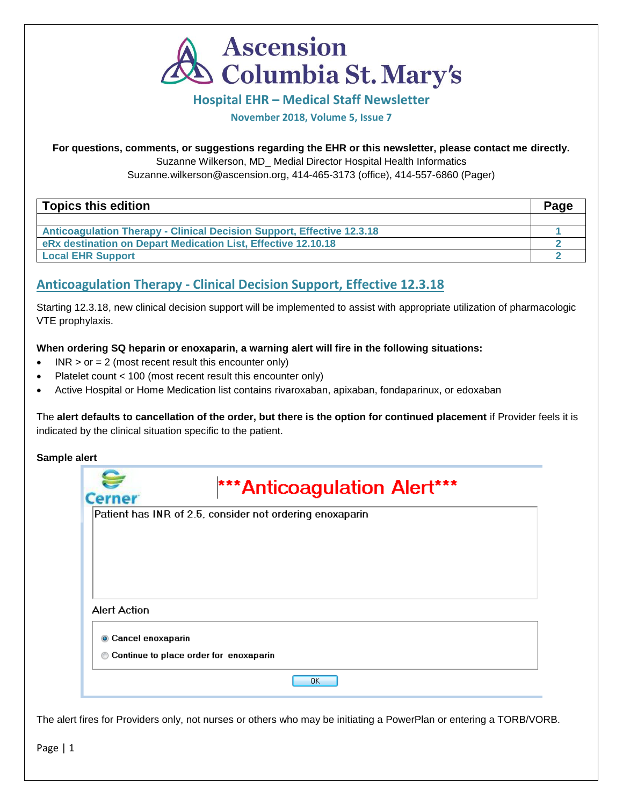

### **Hospital EHR – Medical Staff Newsletter**

**November 2018, Volume 5, Issue 7**

### **For questions, comments, or suggestions regarding the EHR or this newsletter, please contact me directly.**

Suzanne Wilkerson, MD\_ Medial Director Hospital Health Informatics

Suzanne.wilkerson@ascension.org, 414-465-3173 (office), 414-557-6860 (Pager)

| Topics this edition                                                           | Page |
|-------------------------------------------------------------------------------|------|
|                                                                               |      |
| <b>Anticoagulation Therapy - Clinical Decision Support, Effective 12.3.18</b> |      |
| eRx destination on Depart Medication List, Effective 12.10.18                 |      |
| <b>Local EHR Support</b>                                                      |      |

# **Anticoagulation Therapy - Clinical Decision Support, Effective 12.3.18**

Starting 12.3.18, new clinical decision support will be implemented to assist with appropriate utilization of pharmacologic VTE prophylaxis.

### **When ordering SQ heparin or enoxaparin, a warning alert will fire in the following situations:**

- INR  $>$  or = 2 (most recent result this encounter only)
- Platelet count < 100 (most recent result this encounter only)
- Active Hospital or Home Medication list contains rivaroxaban, apixaban, fondaparinux, or edoxaban

The **alert defaults to cancellation of the order, but there is the option for continued placement** if Provider feels it is indicated by the clinical situation specific to the patient.

#### **Sample alert**

| *** Anticoagulation Alert***<br><b>Cerner</b>            |
|----------------------------------------------------------|
| Patient has INR of 2.5, consider not ordering enoxaparin |
|                                                          |
|                                                          |
|                                                          |
| Alert Action                                             |
| Cancel enoxaparin                                        |
| Continue to place order for enoxaparin                   |
| 0K.                                                      |

The alert fires for Providers only, not nurses or others who may be initiating a PowerPlan or entering a TORB/VORB.

Page | 1